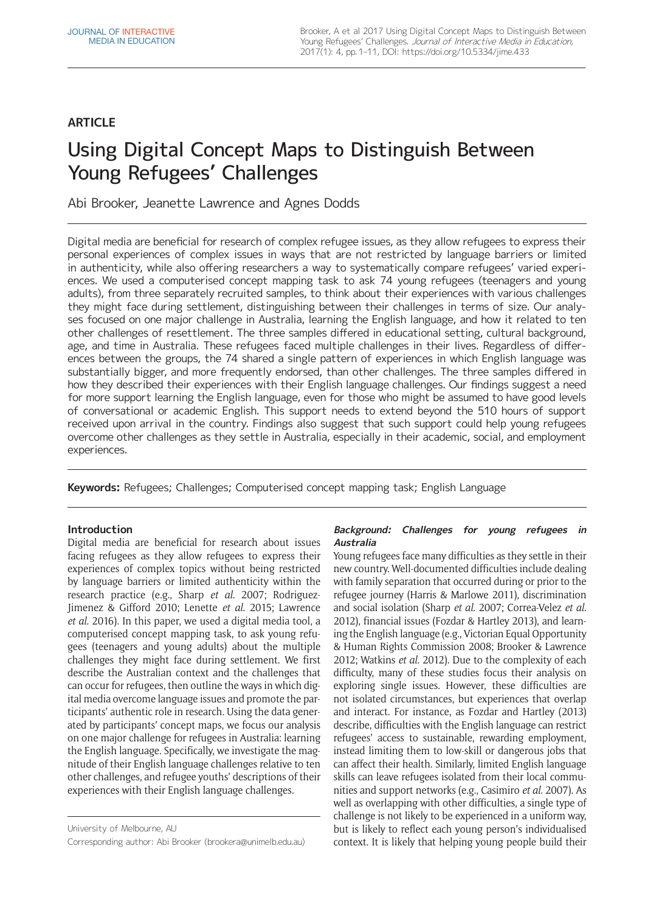## **ARTICLE**

# Using Digital Concept Maps to Distinguish Between Young Refugees' Challenges

Abi Brooker, Jeanette Lawrence and Agnes Dodds

Digital media are beneficial for research of complex refugee issues, as they allow refugees to express their personal experiences of complex issues in ways that are not restricted by language barriers or limited in authenticity, while also offering researchers a way to systematically compare refugees' varied experiences. We used a computerised concept mapping task to ask 74 young refugees (teenagers and young adults), from three separately recruited samples, to think about their experiences with various challenges they might face during settlement, distinguishing between their challenges in terms of size. Our analyses focused on one major challenge in Australia, learning the English language, and how it related to ten other challenges of resettlement. The three samples differed in educational setting, cultural background, age, and time in Australia. These refugees faced multiple challenges in their lives. Regardless of differences between the groups, the 74 shared a single pattern of experiences in which English language was substantially bigger, and more frequently endorsed, than other challenges. The three samples differed in how they described their experiences with their English language challenges. Our findings suggest a need for more support learning the English language, even for those who might be assumed to have good levels of conversational or academic English. This support needs to extend beyond the 510 hours of support received upon arrival in the country. Findings also suggest that such support could help young refugees overcome other challenges as they settle in Australia, especially in their academic, social, and employment experiences.

**Keywords:** Refugees; Challenges; Computerised concept mapping task; English Language

## **Introduction**

Digital media are beneficial for research about issues facing refugees as they allow refugees to express their experiences of complex topics without being restricted by language barriers or limited authenticity within the research practice (e.g., Sharp *et al.* 2007; Rodriguez-Jimenez & Gifford 2010; Lenette *et al.* 2015; Lawrence *et al.* 2016). In this paper, we used a digital media tool, a computerised concept mapping task, to ask young refugees (teenagers and young adults) about the multiple challenges they might face during settlement. We first describe the Australian context and the challenges that can occur for refugees, then outline the ways in which digital media overcome language issues and promote the participants' authentic role in research. Using the data generated by participants' concept maps, we focus our analysis on one major challenge for refugees in Australia: learning the English language. Specifically, we investigate the magnitude of their English language challenges relative to ten other challenges, and refugee youths' descriptions of their experiences with their English language challenges.

University of Melbourne, AU Corresponding author: Abi Brooker [\(brookera@unimelb.edu.au\)](mailto:brookera@unimelb.edu.au)

## **Background: Challenges for young refugees in Australia**

Young refugees face many difficulties as they settle in their new country. Well-documented difficulties include dealing with family separation that occurred during or prior to the refugee journey (Harris & Marlowe 2011), discrimination and social isolation (Sharp *et al.* 2007; Correa-Velez *et al.* 2012), financial issues (Fozdar & Hartley 2013), and learning the English language (e.g., Victorian Equal Opportunity & Human Rights Commission 2008; Brooker & Lawrence 2012; Watkins *et al.* 2012). Due to the complexity of each difficulty, many of these studies focus their analysis on exploring single issues. However, these difficulties are not isolated circumstances, but experiences that overlap and interact. For instance, as Fozdar and Hartley (2013) describe, difficulties with the English language can restrict refugees' access to sustainable, rewarding employment, instead limiting them to low-skill or dangerous jobs that can affect their health. Similarly, limited English language skills can leave refugees isolated from their local communities and support networks (e.g., Casimiro *et al.* 2007). As well as overlapping with other difficulties, a single type of challenge is not likely to be experienced in a uniform way, but is likely to reflect each young person's individualised context. It is likely that helping young people build their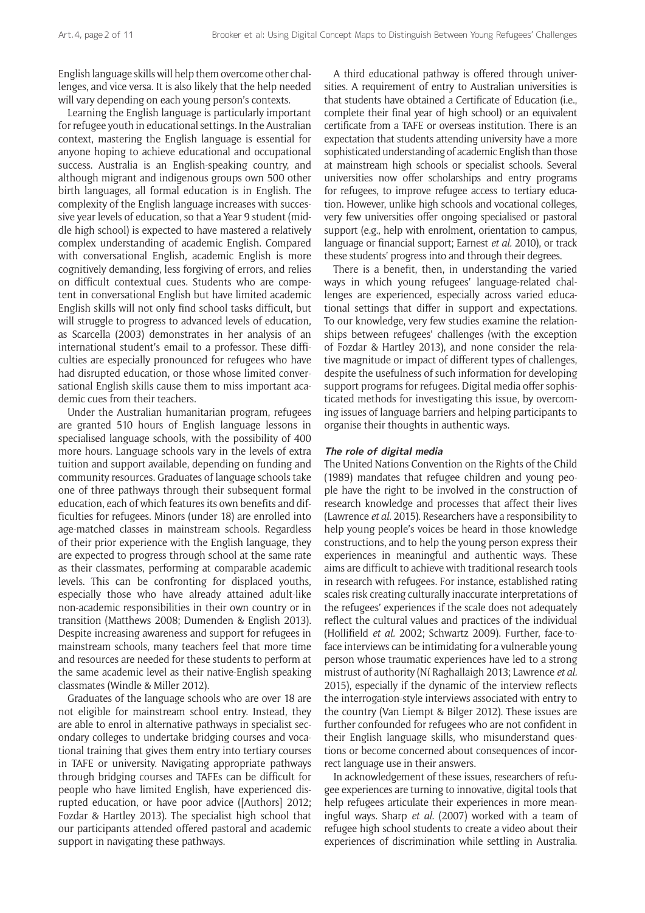English language skills will help them overcome other challenges, and vice versa. It is also likely that the help needed will vary depending on each young person's contexts.

Learning the English language is particularly important for refugee youth in educational settings. In the Australian context, mastering the English language is essential for anyone hoping to achieve educational and occupational success. Australia is an English-speaking country, and although migrant and indigenous groups own 500 other birth languages, all formal education is in English. The complexity of the English language increases with successive year levels of education, so that a Year 9 student (middle high school) is expected to have mastered a relatively complex understanding of academic English. Compared with conversational English, academic English is more cognitively demanding, less forgiving of errors, and relies on difficult contextual cues. Students who are competent in conversational English but have limited academic English skills will not only find school tasks difficult, but will struggle to progress to advanced levels of education, as Scarcella (2003) demonstrates in her analysis of an international student's email to a professor. These difficulties are especially pronounced for refugees who have had disrupted education, or those whose limited conversational English skills cause them to miss important academic cues from their teachers.

Under the Australian humanitarian program, refugees are granted 510 hours of English language lessons in specialised language schools, with the possibility of 400 more hours. Language schools vary in the levels of extra tuition and support available, depending on funding and community resources. Graduates of language schools take one of three pathways through their subsequent formal education, each of which features its own benefits and difficulties for refugees. Minors (under 18) are enrolled into age-matched classes in mainstream schools. Regardless of their prior experience with the English language, they are expected to progress through school at the same rate as their classmates, performing at comparable academic levels. This can be confronting for displaced youths, especially those who have already attained adult-like non-academic responsibilities in their own country or in transition (Matthews 2008; Dumenden & English 2013). Despite increasing awareness and support for refugees in mainstream schools, many teachers feel that more time and resources are needed for these students to perform at the same academic level as their native-English speaking classmates (Windle & Miller 2012).

Graduates of the language schools who are over 18 are not eligible for mainstream school entry. Instead, they are able to enrol in alternative pathways in specialist secondary colleges to undertake bridging courses and vocational training that gives them entry into tertiary courses in TAFE or university. Navigating appropriate pathways through bridging courses and TAFEs can be difficult for people who have limited English, have experienced disrupted education, or have poor advice ([Authors] 2012; Fozdar & Hartley 2013). The specialist high school that our participants attended offered pastoral and academic support in navigating these pathways.

A third educational pathway is offered through universities. A requirement of entry to Australian universities is that students have obtained a Certificate of Education (i.e., complete their final year of high school) or an equivalent certificate from a TAFE or overseas institution. There is an expectation that students attending university have a more sophisticated understanding of academic English than those at mainstream high schools or specialist schools. Several universities now offer scholarships and entry programs for refugees, to improve refugee access to tertiary education. However, unlike high schools and vocational colleges, very few universities offer ongoing specialised or pastoral support (e.g., help with enrolment, orientation to campus, language or financial support; Earnest *et al.* 2010), or track these students' progress into and through their degrees.

There is a benefit, then, in understanding the varied ways in which young refugees' language-related challenges are experienced, especially across varied educational settings that differ in support and expectations. To our knowledge, very few studies examine the relationships between refugees' challenges (with the exception of Fozdar & Hartley 2013), and none consider the relative magnitude or impact of different types of challenges, despite the usefulness of such information for developing support programs for refugees. Digital media offer sophisticated methods for investigating this issue, by overcoming issues of language barriers and helping participants to organise their thoughts in authentic ways.

#### **The role of digital media**

The United Nations Convention on the Rights of the Child (1989) mandates that refugee children and young people have the right to be involved in the construction of research knowledge and processes that affect their lives (Lawrence *et al.* 2015). Researchers have a responsibility to help young people's voices be heard in those knowledge constructions, and to help the young person express their experiences in meaningful and authentic ways. These aims are difficult to achieve with traditional research tools in research with refugees. For instance, established rating scales risk creating culturally inaccurate interpretations of the refugees' experiences if the scale does not adequately reflect the cultural values and practices of the individual (Hollifield *et al.* 2002; Schwartz 2009). Further, face-toface interviews can be intimidating for a vulnerable young person whose traumatic experiences have led to a strong mistrust of authority (Ní Raghallaigh 2013; Lawrence *et al.* 2015), especially if the dynamic of the interview reflects the interrogation-style interviews associated with entry to the country (Van Liempt & Bilger 2012). These issues are further confounded for refugees who are not confident in their English language skills, who misunderstand questions or become concerned about consequences of incorrect language use in their answers.

In acknowledgement of these issues, researchers of refugee experiences are turning to innovative, digital tools that help refugees articulate their experiences in more meaningful ways. Sharp *et al.* (2007) worked with a team of refugee high school students to create a video about their experiences of discrimination while settling in Australia.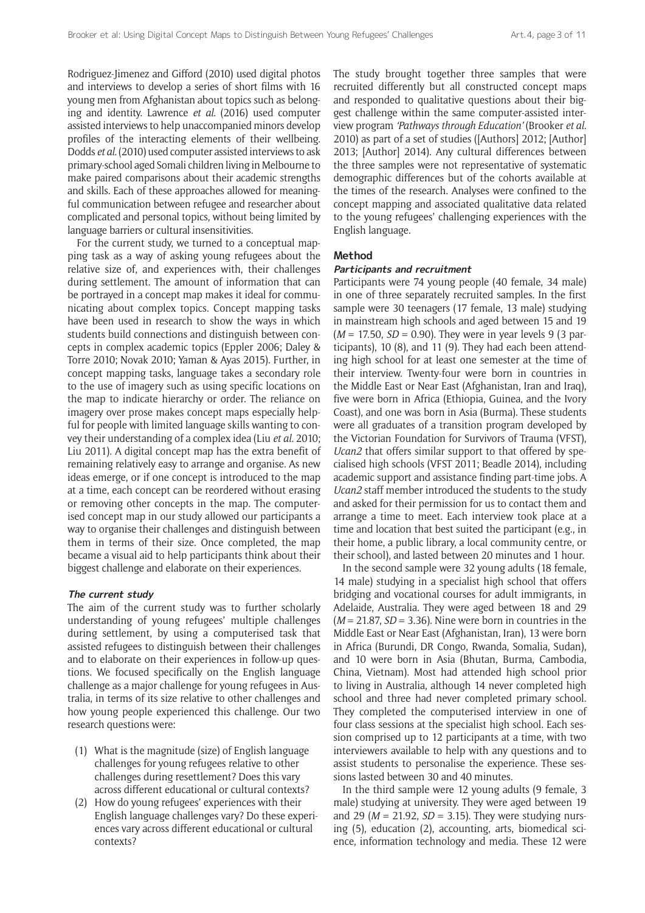Rodriguez-Jimenez and Gifford (2010) used digital photos and interviews to develop a series of short films with 16 young men from Afghanistan about topics such as belonging and identity. Lawrence *et al.* (2016) used computer assisted interviews to help unaccompanied minors develop profiles of the interacting elements of their wellbeing. Dodds *et al.* (2010) used computer assisted interviews to ask primary-school aged Somali children living in Melbourne to make paired comparisons about their academic strengths and skills. Each of these approaches allowed for meaningful communication between refugee and researcher about complicated and personal topics, without being limited by language barriers or cultural insensitivities.

For the current study, we turned to a conceptual mapping task as a way of asking young refugees about the relative size of, and experiences with, their challenges during settlement. The amount of information that can be portrayed in a concept map makes it ideal for communicating about complex topics. Concept mapping tasks have been used in research to show the ways in which students build connections and distinguish between concepts in complex academic topics (Eppler 2006; Daley & Torre 2010; Novak 2010; Yaman & Ayas 2015). Further, in concept mapping tasks, language takes a secondary role to the use of imagery such as using specific locations on the map to indicate hierarchy or order. The reliance on imagery over prose makes concept maps especially helpful for people with limited language skills wanting to convey their understanding of a complex idea (Liu *et al.* 2010; Liu 2011). A digital concept map has the extra benefit of remaining relatively easy to arrange and organise. As new ideas emerge, or if one concept is introduced to the map at a time, each concept can be reordered without erasing or removing other concepts in the map. The computerised concept map in our study allowed our participants a way to organise their challenges and distinguish between them in terms of their size. Once completed, the map became a visual aid to help participants think about their biggest challenge and elaborate on their experiences.

#### **The current study**

The aim of the current study was to further scholarly understanding of young refugees' multiple challenges during settlement, by using a computerised task that assisted refugees to distinguish between their challenges and to elaborate on their experiences in follow-up questions. We focused specifically on the English language challenge as a major challenge for young refugees in Australia, in terms of its size relative to other challenges and how young people experienced this challenge. Our two research questions were:

- (1) What is the magnitude (size) of English language challenges for young refugees relative to other challenges during resettlement? Does this vary across different educational or cultural contexts?
- (2) How do young refugees' experiences with their English language challenges vary? Do these experiences vary across different educational or cultural contexts?

The study brought together three samples that were recruited differently but all constructed concept maps and responded to qualitative questions about their biggest challenge within the same computer-assisted interview program *'Pathways through Education'* (Brooker *et al.* 2010) as part of a set of studies ([Authors] 2012; [Author] 2013; [Author] 2014). Any cultural differences between the three samples were not representative of systematic demographic differences but of the cohorts available at the times of the research. Analyses were confined to the concept mapping and associated qualitative data related to the young refugees' challenging experiences with the English language.

#### **Method**

#### **Participants and recruitment**

Participants were 74 young people (40 female, 34 male) in one of three separately recruited samples. In the first sample were 30 teenagers (17 female, 13 male) studying in mainstream high schools and aged between 15 and 19 (*M* = 17.50, *SD* = 0.90). They were in year levels 9 (3 participants), 10 (8), and 11 (9). They had each been attending high school for at least one semester at the time of their interview. Twenty-four were born in countries in the Middle East or Near East (Afghanistan, Iran and Iraq), five were born in Africa (Ethiopia, Guinea, and the Ivory Coast), and one was born in Asia (Burma). These students were all graduates of a transition program developed by the Victorian Foundation for Survivors of Trauma (VFST), *Ucan2* that offers similar support to that offered by specialised high schools (VFST 2011; Beadle 2014), including academic support and assistance finding part-time jobs. A *Ucan2* staff member introduced the students to the study and asked for their permission for us to contact them and arrange a time to meet. Each interview took place at a time and location that best suited the participant (e.g., in their home, a public library, a local community centre, or their school), and lasted between 20 minutes and 1 hour.

In the second sample were 32 young adults (18 female, 14 male) studying in a specialist high school that offers bridging and vocational courses for adult immigrants, in Adelaide, Australia. They were aged between 18 and 29 (*M* = 21.87, *SD* = 3.36). Nine were born in countries in the Middle East or Near East (Afghanistan, Iran), 13 were born in Africa (Burundi, DR Congo, Rwanda, Somalia, Sudan), and 10 were born in Asia (Bhutan, Burma, Cambodia, China, Vietnam). Most had attended high school prior to living in Australia, although 14 never completed high school and three had never completed primary school. They completed the computerised interview in one of four class sessions at the specialist high school. Each session comprised up to 12 participants at a time, with two interviewers available to help with any questions and to assist students to personalise the experience. These sessions lasted between 30 and 40 minutes.

In the third sample were 12 young adults (9 female, 3 male) studying at university. They were aged between 19 and 29 (*M* = 21.92, *SD* = 3.15). They were studying nursing (5), education (2), accounting, arts, biomedical science, information technology and media. These 12 were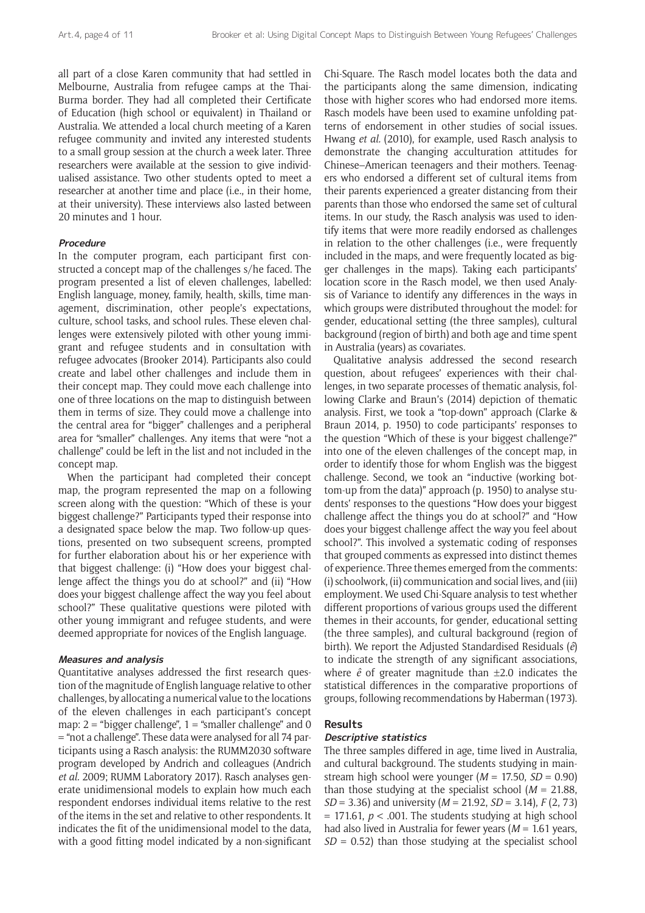all part of a close Karen community that had settled in Melbourne, Australia from refugee camps at the Thai-Burma border. They had all completed their Certificate of Education (high school or equivalent) in Thailand or Australia. We attended a local church meeting of a Karen refugee community and invited any interested students to a small group session at the church a week later. Three researchers were available at the session to give individualised assistance. Two other students opted to meet a researcher at another time and place (i.e., in their home, at their university). These interviews also lasted between 20 minutes and 1 hour.

#### **Procedure**

In the computer program, each participant first constructed a concept map of the challenges s/he faced. The program presented a list of eleven challenges, labelled: English language, money, family, health, skills, time management, discrimination, other people's expectations, culture, school tasks, and school rules. These eleven challenges were extensively piloted with other young immigrant and refugee students and in consultation with refugee advocates (Brooker 2014). Participants also could create and label other challenges and include them in their concept map. They could move each challenge into one of three locations on the map to distinguish between them in terms of size. They could move a challenge into the central area for "bigger" challenges and a peripheral area for "smaller" challenges. Any items that were "not a challenge" could be left in the list and not included in the concept map.

When the participant had completed their concept map, the program represented the map on a following screen along with the question: "Which of these is your biggest challenge?" Participants typed their response into a designated space below the map. Two follow-up questions, presented on two subsequent screens, prompted for further elaboration about his or her experience with that biggest challenge: (i) "How does your biggest challenge affect the things you do at school?" and (ii) "How does your biggest challenge affect the way you feel about school?" These qualitative questions were piloted with other young immigrant and refugee students, and were deemed appropriate for novices of the English language.

#### **Measures and analysis**

Quantitative analyses addressed the first research question of the magnitude of English language relative to other challenges, by allocating a numerical value to the locations of the eleven challenges in each participant's concept map:  $2 =$  "bigger challenge",  $1 =$  "smaller challenge" and 0 = "not a challenge". These data were analysed for all 74 participants using a Rasch analysis: the RUMM2030 software program developed by Andrich and colleagues (Andrich *et al.* 2009; RUMM Laboratory 2017). Rasch analyses generate unidimensional models to explain how much each respondent endorses individual items relative to the rest of the items in the set and relative to other respondents. It indicates the fit of the unidimensional model to the data, with a good fitting model indicated by a non-significant Chi-Square. The Rasch model locates both the data and the participants along the same dimension, indicating those with higher scores who had endorsed more items. Rasch models have been used to examine unfolding patterns of endorsement in other studies of social issues. Hwang *et al.* (2010), for example, used Rasch analysis to demonstrate the changing acculturation attitudes for Chinese–American teenagers and their mothers. Teenagers who endorsed a different set of cultural items from their parents experienced a greater distancing from their parents than those who endorsed the same set of cultural items. In our study, the Rasch analysis was used to identify items that were more readily endorsed as challenges in relation to the other challenges (i.e., were frequently included in the maps, and were frequently located as bigger challenges in the maps). Taking each participants' location score in the Rasch model, we then used Analysis of Variance to identify any differences in the ways in which groups were distributed throughout the model: for gender, educational setting (the three samples), cultural background (region of birth) and both age and time spent in Australia (years) as covariates.

Qualitative analysis addressed the second research question, about refugees' experiences with their challenges, in two separate processes of thematic analysis, following Clarke and Braun's (2014) depiction of thematic analysis. First, we took a "top-down" approach (Clarke & Braun 2014, p. 1950) to code participants' responses to the question "Which of these is your biggest challenge?" into one of the eleven challenges of the concept map, in order to identify those for whom English was the biggest challenge. Second, we took an "inductive (working bottom-up from the data)" approach (p. 1950) to analyse students' responses to the questions "How does your biggest challenge affect the things you do at school?" and "How does your biggest challenge affect the way you feel about school?". This involved a systematic coding of responses that grouped comments as expressed into distinct themes of experience. Three themes emerged from the comments: (i) schoolwork, (ii) communication and social lives, and (iii) employment. We used Chi-Square analysis to test whether different proportions of various groups used the different themes in their accounts, for gender, educational setting (the three samples), and cultural background (region of birth). We report the Adjusted Standardised Residuals (*ê*) to indicate the strength of any significant associations, where *ê* of greater magnitude than ±2.0 indicates the statistical differences in the comparative proportions of groups, following recommendations by Haberman (1973).

#### **Results**

#### **Descriptive statistics**

The three samples differed in age, time lived in Australia, and cultural background. The students studying in mainstream high school were younger (*M* = 17.50, *SD* = 0.90) than those studying at the specialist school (*M* = 21.88, *SD* = 3.36) and university (*M* = 21.92, *SD* = 3.14), *F* (2, 73)  $= 171.61$ ,  $p < .001$ . The students studying at high school had also lived in Australia for fewer years (*M* = 1.61 years, *SD* = 0.52) than those studying at the specialist school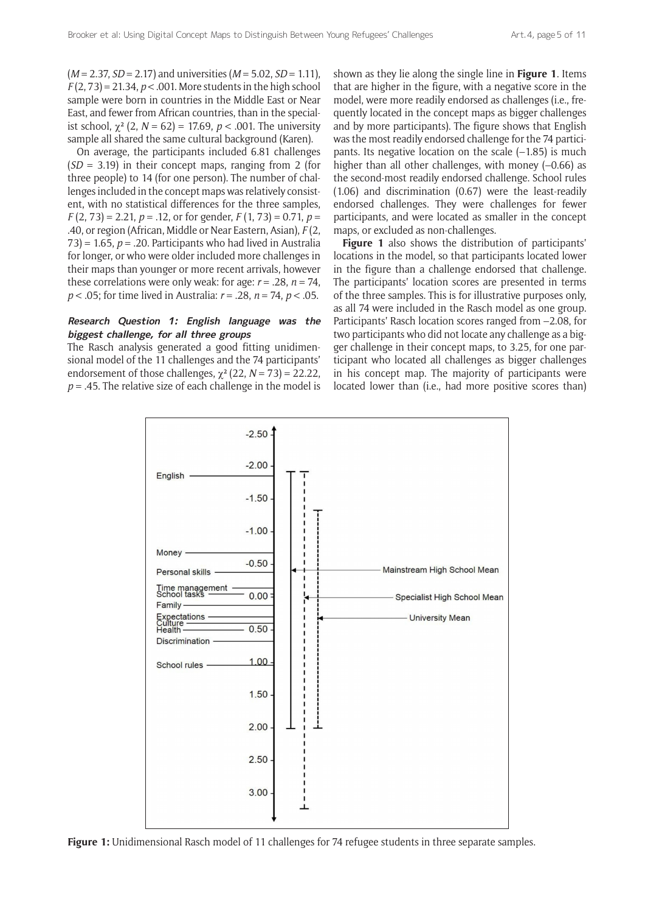(*M* = 2.37, *SD* = 2.17) and universities (*M* = 5.02, *SD* = 1.11), *F* (2, 73) = 21.34, *p* < .001. More students in the high school sample were born in countries in the Middle East or Near East, and fewer from African countries, than in the specialist school,  $\chi^2$  (2,  $N = 62$ ) = 17.69,  $p < .001$ . The university sample all shared the same cultural background (Karen).

On average, the participants included 6.81 challenges (*SD* = 3.19) in their concept maps, ranging from 2 (for three people) to 14 (for one person). The number of challenges included in the concept maps was relatively consistent, with no statistical differences for the three samples, *F* (2, 73) = 2.21, *p =* .12, or for gender, *F* (1, 73) = 0.71, *p* = .40, or region (African, Middle or Near Eastern, Asian), *F* (2,  $(73)$  = 1.65,  $p = 0.20$ . Participants who had lived in Australia for longer, or who were older included more challenges in their maps than younger or more recent arrivals, however these correlations were only weak: for age:  $r = .28$ ,  $n = 74$ , *p* < .05; for time lived in Australia: *r* = .28, *n* = 74, *p* < .05.

#### **Research Question 1: English language was the biggest challenge, for all three groups**

The Rasch analysis generated a good fitting unidimensional model of the 11 challenges and the 74 participants' endorsement of those challenges,  $\chi^2$  (22, *N* = 73) = 22.22,  $p = 0.45$ . The relative size of each challenge in the model is shown as they lie along the single line in **Figure 1**. Items that are higher in the figure, with a negative score in the model, were more readily endorsed as challenges (i.e., frequently located in the concept maps as bigger challenges and by more participants). The figure shows that English was the most readily endorsed challenge for the 74 participants. Its negative location on the scale  $(-1.85)$  is much higher than all other challenges, with money (-0.66) as the second-most readily endorsed challenge. School rules (1.06) and discrimination (0.67) were the least-readily endorsed challenges. They were challenges for fewer participants, and were located as smaller in the concept maps, or excluded as non-challenges.

**Figure 1** also shows the distribution of participants' locations in the model, so that participants located lower in the figure than a challenge endorsed that challenge. The participants' location scores are presented in terms of the three samples. This is for illustrative purposes only, as all 74 were included in the Rasch model as one group. Participants' Rasch location scores ranged from –2.08, for two participants who did not locate any challenge as a bigger challenge in their concept maps, to 3.25, for one participant who located all challenges as bigger challenges in his concept map. The majority of participants were located lower than (i.e., had more positive scores than)



**Figure 1:** Unidimensional Rasch model of 11 challenges for 74 refugee students in three separate samples.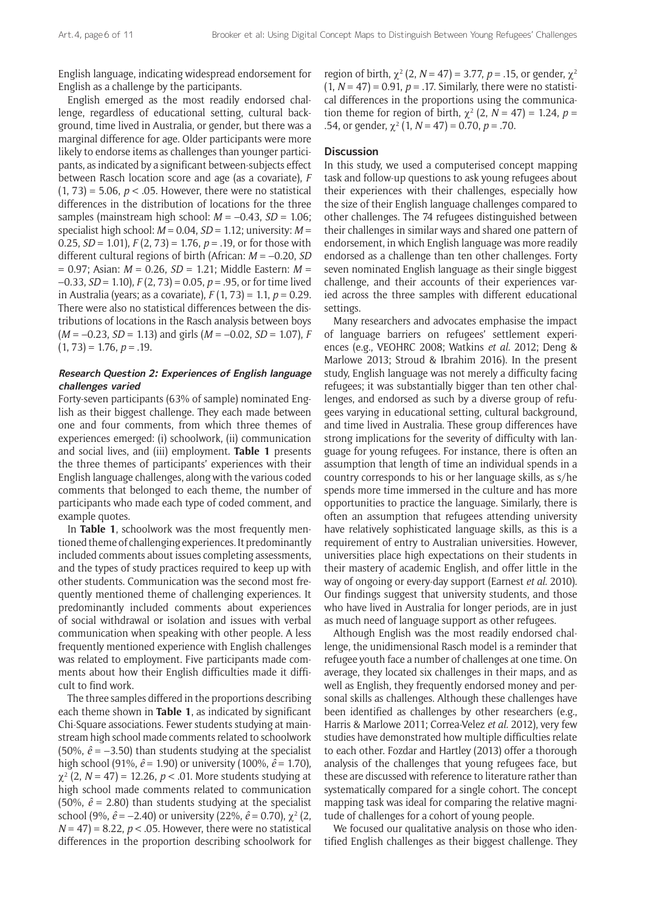English language, indicating widespread endorsement for English as a challenge by the participants.

English emerged as the most readily endorsed challenge, regardless of educational setting, cultural background, time lived in Australia, or gender, but there was a marginal difference for age. Older participants were more likely to endorse items as challenges than younger participants, as indicated by a significant between-subjects effect between Rasch location score and age (as a covariate), *F*   $(1, 73) = 5.06$ ,  $p < .05$ . However, there were no statistical differences in the distribution of locations for the three samples (mainstream high school: *M* = –0.43, *SD* = 1.06; specialist high school: *M* = 0.04, *SD* = 1.12; university: *M* = 0.25, *SD* = 1.01), *F* (2, 73) = 1.76, *p* = .19, or for those with different cultural regions of birth (African: *M* = –0.20, *SD*  = 0.97; Asian: *M* = 0.26, *SD* = 1.21; Middle Eastern: *M* = –0.33, *SD* = 1.10), *F* (2, 73) = 0.05, *p* = .95, or for time lived in Australia (years; as a covariate), *F* (1, 73) = 1.1, *p* = 0.29. There were also no statistical differences between the distributions of locations in the Rasch analysis between boys (*M* = –0.23, *SD* = 1.13) and girls (*M* = –0.02, *SD* = 1.07), *F*   $(1, 73) = 1.76, p = .19.$ 

### **Research Question 2: Experiences of English language challenges varied**

Forty-seven participants (63% of sample) nominated English as their biggest challenge. They each made between one and four comments, from which three themes of experiences emerged: (i) schoolwork, (ii) communication and social lives, and (iii) employment. **Table 1** presents the three themes of participants' experiences with their English language challenges, along with the various coded comments that belonged to each theme, the number of participants who made each type of coded comment, and example quotes.

In **Table 1**, schoolwork was the most frequently mentioned theme of challenging experiences. It predominantly included comments about issues completing assessments, and the types of study practices required to keep up with other students. Communication was the second most frequently mentioned theme of challenging experiences. It predominantly included comments about experiences of social withdrawal or isolation and issues with verbal communication when speaking with other people. A less frequently mentioned experience with English challenges was related to employment. Five participants made comments about how their English difficulties made it difficult to find work.

The three samples differed in the proportions describing each theme shown in **Table 1**, as indicated by significant Chi-Square associations. Fewer students studying at mainstream high school made comments related to schoolwork (50%,  $\hat{e}$  = -3.50) than students studying at the specialist high school (91%, *ê* = 1.90) or university (100%, *ê* = 1.70),  $\chi^2$  (2, *N* = 47) = 12.26, *p* < .01. More students studying at high school made comments related to communication (50%,  $\hat{e}$  = 2.80) than students studying at the specialist school (9%,  $\hat{e} = -2.40$ ) or university (22%,  $\hat{e} = 0.70$ ),  $\chi^2$  (2,  $N = 47$  = 8.22,  $p < .05$ . However, there were no statistical differences in the proportion describing schoolwork for

region of birth,  $\chi^2$  (2, *N* = 47) = 3.77, *p* = .15, or gender,  $\chi^2$  $(1, N = 47) = 0.91$ ,  $p = .17$ . Similarly, there were no statistical differences in the proportions using the communication theme for region of birth,  $\chi^2$  (2, *N* = 47) = 1.24, *p* = .54, or gender,  $\chi^2$  (1, *N* = 47) = 0.70, *p* = .70.

#### **Discussion**

In this study, we used a computerised concept mapping task and follow-up questions to ask young refugees about their experiences with their challenges, especially how the size of their English language challenges compared to other challenges. The 74 refugees distinguished between their challenges in similar ways and shared one pattern of endorsement, in which English language was more readily endorsed as a challenge than ten other challenges. Forty seven nominated English language as their single biggest challenge, and their accounts of their experiences varied across the three samples with different educational settings.

Many researchers and advocates emphasise the impact of language barriers on refugees' settlement experiences (e.g., VEOHRC 2008; Watkins *et al.* 2012; Deng & Marlowe 2013; Stroud & Ibrahim 2016). In the present study, English language was not merely a difficulty facing refugees; it was substantially bigger than ten other challenges, and endorsed as such by a diverse group of refugees varying in educational setting, cultural background, and time lived in Australia. These group differences have strong implications for the severity of difficulty with language for young refugees. For instance, there is often an assumption that length of time an individual spends in a country corresponds to his or her language skills, as s/he spends more time immersed in the culture and has more opportunities to practice the language. Similarly, there is often an assumption that refugees attending university have relatively sophisticated language skills, as this is a requirement of entry to Australian universities. However, universities place high expectations on their students in their mastery of academic English, and offer little in the way of ongoing or every-day support (Earnest *et al.* 2010). Our findings suggest that university students, and those who have lived in Australia for longer periods, are in just as much need of language support as other refugees.

Although English was the most readily endorsed challenge, the unidimensional Rasch model is a reminder that refugee youth face a number of challenges at one time. On average, they located six challenges in their maps, and as well as English, they frequently endorsed money and personal skills as challenges. Although these challenges have been identified as challenges by other researchers (e.g., Harris & Marlowe 2011; Correa-Velez *et al.* 2012), very few studies have demonstrated how multiple difficulties relate to each other. Fozdar and Hartley (2013) offer a thorough analysis of the challenges that young refugees face, but these are discussed with reference to literature rather than systematically compared for a single cohort. The concept mapping task was ideal for comparing the relative magnitude of challenges for a cohort of young people.

We focused our qualitative analysis on those who identified English challenges as their biggest challenge. They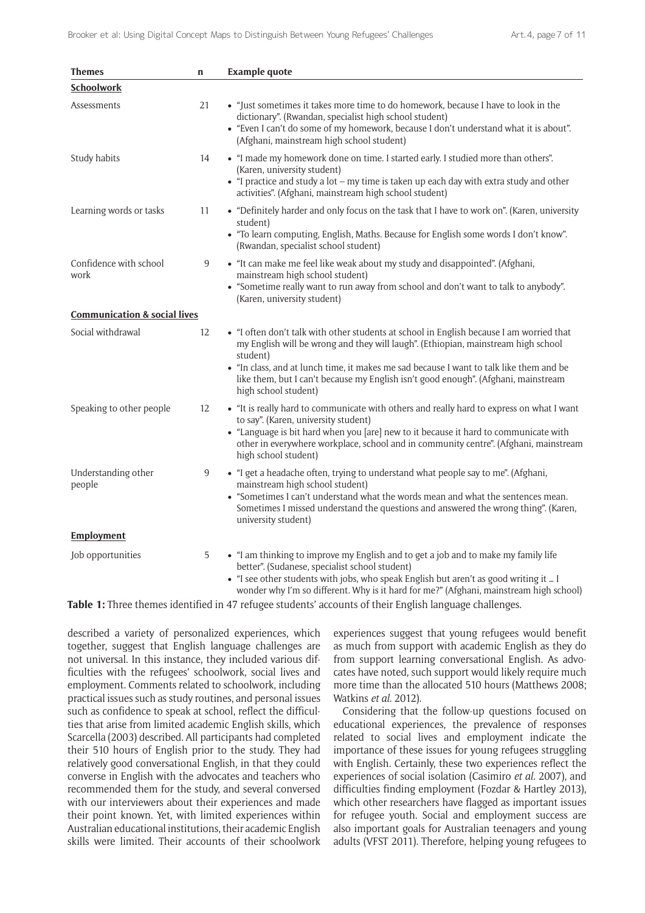| <b>Themes</b>                           | $\mathbf n$ | <b>Example quote</b>                                                                                                                                                                                                                                                                                                                                                                               |
|-----------------------------------------|-------------|----------------------------------------------------------------------------------------------------------------------------------------------------------------------------------------------------------------------------------------------------------------------------------------------------------------------------------------------------------------------------------------------------|
| <b>Schoolwork</b>                       |             |                                                                                                                                                                                                                                                                                                                                                                                                    |
| Assessments                             | 21          | • "Just sometimes it takes more time to do homework, because I have to look in the<br>dictionary". (Rwandan, specialist high school student)<br>• "Even I can't do some of my homework, because I don't understand what it is about".<br>(Afghani, mainstream high school student)                                                                                                                 |
| Study habits                            | 14          | • "I made my homework done on time. I started early. I studied more than others".<br>(Karen, university student)<br>$\bullet$ "I practice and study a lot – my time is taken up each day with extra study and other<br>activities". (Afghani, mainstream high school student)                                                                                                                      |
| Learning words or tasks                 | 11          | • "Definitely harder and only focus on the task that I have to work on". (Karen, university<br>student)<br>• "To learn computing, English, Maths. Because for English some words I don't know".<br>(Rwandan, specialist school student)                                                                                                                                                            |
| Confidence with school<br>work          | 9           | • "It can make me feel like weak about my study and disappointed". (Afghani,<br>mainstream high school student)<br>• "Sometime really want to run away from school and don't want to talk to anybody".<br>(Karen, university student)                                                                                                                                                              |
| <b>Communication &amp; social lives</b> |             |                                                                                                                                                                                                                                                                                                                                                                                                    |
| Social withdrawal                       | 12          | • "I often don't talk with other students at school in English because I am worried that<br>my English will be wrong and they will laugh". (Ethiopian, mainstream high school<br>student)<br>• "In class, and at lunch time, it makes me sad because I want to talk like them and be<br>like them, but I can't because my English isn't good enough". (Afghani, mainstream<br>high school student) |
| Speaking to other people                | 12          | • "It is really hard to communicate with others and really hard to express on what I want<br>to say". (Karen, university student)<br>• "Language is bit hard when you [are] new to it because it hard to communicate with<br>other in everywhere workplace, school and in community centre". (Afghani, mainstream<br>high school student)                                                          |
| Understanding other<br>people           | 9           | • "I get a headache often, trying to understand what people say to me". (Afghani,<br>mainstream high school student)<br>• "Sometimes I can't understand what the words mean and what the sentences mean.<br>Sometimes I missed understand the questions and answered the wrong thing". (Karen,<br>university student)                                                                              |
| Employment                              |             |                                                                                                                                                                                                                                                                                                                                                                                                    |
| Job opportunities                       | 5           | • "I am thinking to improve my English and to get a job and to make my family life<br>better". (Sudanese, specialist school student)<br>• "I see other students with jobs, who speak English but aren't as good writing it  I<br>wonder why I'm so different. Why is it hard for me?" (Afghani, mainstream high school)                                                                            |

**Table 1:** Three themes identified in 47 refugee students' accounts of their English language challenges.

described a variety of personalized experiences, which together, suggest that English language challenges are not universal. In this instance, they included various difficulties with the refugees' schoolwork, social lives and employment. Comments related to schoolwork, including practical issues such as study routines, and personal issues such as confidence to speak at school, reflect the difficulties that arise from limited academic English skills, which Scarcella (2003) described. All participants had completed their 510 hours of English prior to the study. They had relatively good conversational English, in that they could converse in English with the advocates and teachers who recommended them for the study, and several conversed with our interviewers about their experiences and made their point known. Yet, with limited experiences within Australian educational institutions, their academic English skills were limited. Their accounts of their schoolwork

experiences suggest that young refugees would benefit as much from support with academic English as they do from support learning conversational English. As advocates have noted, such support would likely require much more time than the allocated 510 hours (Matthews 2008; Watkins *et al.* 2012).

Considering that the follow-up questions focused on educational experiences, the prevalence of responses related to social lives and employment indicate the importance of these issues for young refugees struggling with English. Certainly, these two experiences reflect the experiences of social isolation (Casimiro *et al.* 2007), and difficulties finding employment (Fozdar & Hartley 2013), which other researchers have flagged as important issues for refugee youth. Social and employment success are also important goals for Australian teenagers and young adults (VFST 2011). Therefore, helping young refugees to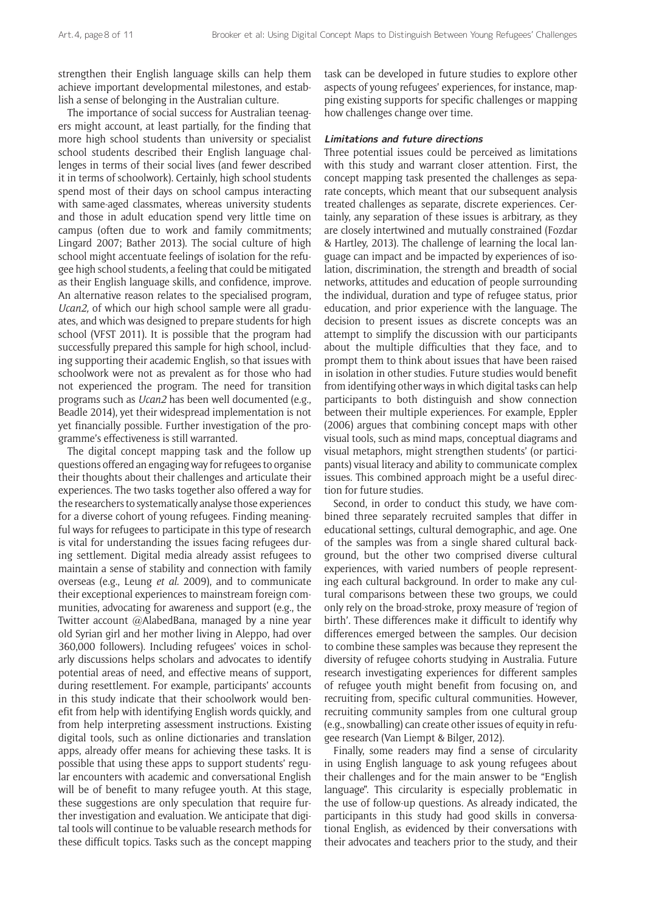strengthen their English language skills can help them achieve important developmental milestones, and establish a sense of belonging in the Australian culture.

The importance of social success for Australian teenagers might account, at least partially, for the finding that more high school students than university or specialist school students described their English language challenges in terms of their social lives (and fewer described it in terms of schoolwork). Certainly, high school students spend most of their days on school campus interacting with same-aged classmates, whereas university students and those in adult education spend very little time on campus (often due to work and family commitments; Lingard 2007; Bather 2013). The social culture of high school might accentuate feelings of isolation for the refugee high school students, a feeling that could be mitigated as their English language skills, and confidence, improve. An alternative reason relates to the specialised program, *Ucan2,* of which our high school sample were all graduates, and which was designed to prepare students for high school (VFST 2011). It is possible that the program had successfully prepared this sample for high school, including supporting their academic English, so that issues with schoolwork were not as prevalent as for those who had not experienced the program. The need for transition programs such as *Ucan2* has been well documented (e.g., Beadle 2014), yet their widespread implementation is not yet financially possible. Further investigation of the programme's effectiveness is still warranted.

The digital concept mapping task and the follow up questions offered an engaging way for refugees to organise their thoughts about their challenges and articulate their experiences. The two tasks together also offered a way for the researchers to systematically analyse those experiences for a diverse cohort of young refugees. Finding meaningful ways for refugees to participate in this type of research is vital for understanding the issues facing refugees during settlement. Digital media already assist refugees to maintain a sense of stability and connection with family overseas (e.g., Leung *et al.* 2009), and to communicate their exceptional experiences to mainstream foreign communities, advocating for awareness and support (e.g., the Twitter account @AlabedBana, managed by a nine year old Syrian girl and her mother living in Aleppo, had over 360,000 followers). Including refugees' voices in scholarly discussions helps scholars and advocates to identify potential areas of need, and effective means of support, during resettlement. For example, participants' accounts in this study indicate that their schoolwork would benefit from help with identifying English words quickly, and from help interpreting assessment instructions. Existing digital tools, such as online dictionaries and translation apps, already offer means for achieving these tasks. It is possible that using these apps to support students' regular encounters with academic and conversational English will be of benefit to many refugee youth. At this stage, these suggestions are only speculation that require further investigation and evaluation. We anticipate that digital tools will continue to be valuable research methods for these difficult topics. Tasks such as the concept mapping

task can be developed in future studies to explore other aspects of young refugees' experiences, for instance, mapping existing supports for specific challenges or mapping how challenges change over time.

#### **Limitations and future directions**

Three potential issues could be perceived as limitations with this study and warrant closer attention. First, the concept mapping task presented the challenges as separate concepts, which meant that our subsequent analysis treated challenges as separate, discrete experiences. Certainly, any separation of these issues is arbitrary, as they are closely intertwined and mutually constrained (Fozdar & Hartley, 2013). The challenge of learning the local language can impact and be impacted by experiences of isolation, discrimination, the strength and breadth of social networks, attitudes and education of people surrounding the individual, duration and type of refugee status, prior education, and prior experience with the language. The decision to present issues as discrete concepts was an attempt to simplify the discussion with our participants about the multiple difficulties that they face, and to prompt them to think about issues that have been raised in isolation in other studies. Future studies would benefit from identifying other ways in which digital tasks can help participants to both distinguish and show connection between their multiple experiences. For example, Eppler (2006) argues that combining concept maps with other visual tools, such as mind maps, conceptual diagrams and visual metaphors, might strengthen students' (or participants) visual literacy and ability to communicate complex issues. This combined approach might be a useful direction for future studies.

Second, in order to conduct this study, we have combined three separately recruited samples that differ in educational settings, cultural demographic, and age. One of the samples was from a single shared cultural background, but the other two comprised diverse cultural experiences, with varied numbers of people representing each cultural background. In order to make any cultural comparisons between these two groups, we could only rely on the broad-stroke, proxy measure of 'region of birth'. These differences make it difficult to identify why differences emerged between the samples. Our decision to combine these samples was because they represent the diversity of refugee cohorts studying in Australia. Future research investigating experiences for different samples of refugee youth might benefit from focusing on, and recruiting from, specific cultural communities. However, recruiting community samples from one cultural group (e.g., snowballing) can create other issues of equity in refugee research (Van Liempt & Bilger, 2012).

Finally, some readers may find a sense of circularity in using English language to ask young refugees about their challenges and for the main answer to be "English language". This circularity is especially problematic in the use of follow-up questions. As already indicated, the participants in this study had good skills in conversational English, as evidenced by their conversations with their advocates and teachers prior to the study, and their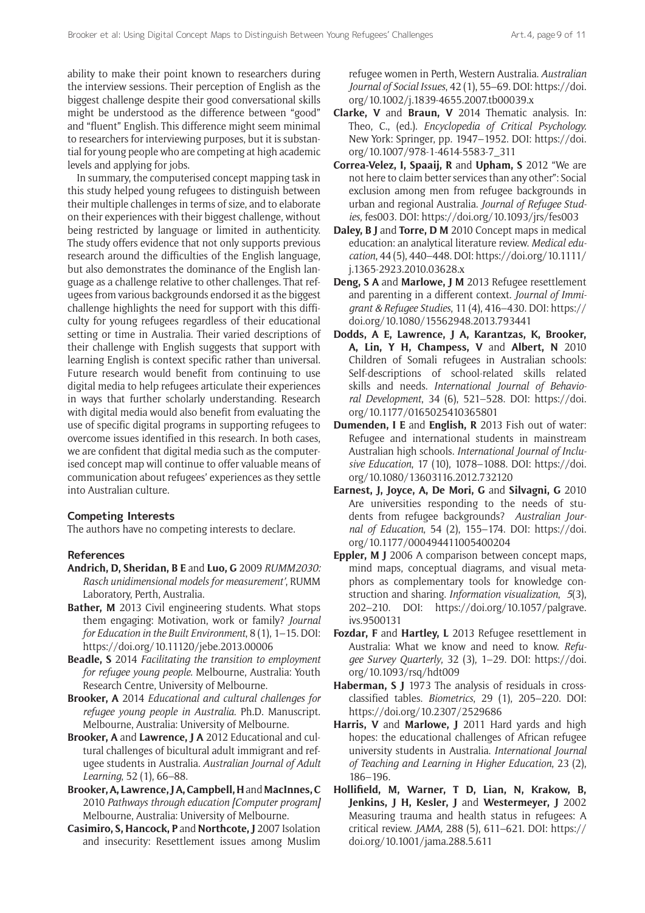ability to make their point known to researchers during the interview sessions. Their perception of English as the biggest challenge despite their good conversational skills might be understood as the difference between "good" and "fluent" English. This difference might seem minimal to researchers for interviewing purposes, but it is substantial for young people who are competing at high academic levels and applying for jobs.

In summary, the computerised concept mapping task in this study helped young refugees to distinguish between their multiple challenges in terms of size, and to elaborate on their experiences with their biggest challenge, without being restricted by language or limited in authenticity. The study offers evidence that not only supports previous research around the difficulties of the English language, but also demonstrates the dominance of the English language as a challenge relative to other challenges. That refugees from various backgrounds endorsed it as the biggest challenge highlights the need for support with this difficulty for young refugees regardless of their educational setting or time in Australia. Their varied descriptions of their challenge with English suggests that support with learning English is context specific rather than universal. Future research would benefit from continuing to use digital media to help refugees articulate their experiences in ways that further scholarly understanding. Research with digital media would also benefit from evaluating the use of specific digital programs in supporting refugees to overcome issues identified in this research. In both cases, we are confident that digital media such as the computerised concept map will continue to offer valuable means of communication about refugees' experiences as they settle into Australian culture.

#### **Competing Interests**

The authors have no competing interests to declare.

#### **References**

- **Andrich, D, Sheridan, B E** and **Luo, G** 2009 *RUMM2030: Rasch unidimensional models for measurement'*, RUMM Laboratory, Perth, Australia.
- **Bather, M** 2013 Civil engineering students. What stops them engaging: Motivation, work or family? *Journal for Education in the Built Environment*, 8 (1), 1–15. DOI: <https://doi.org/10.11120/jebe.2013.00006>
- **Beadle, S** 2014 *Facilitating the transition to employment for refugee young people.* Melbourne, Australia: Youth Research Centre, University of Melbourne.
- **Brooker, A** 2014 *Educational and cultural challenges for refugee young people in Australia*. Ph.D. Manuscript. Melbourne, Australia: University of Melbourne.
- **Brooker, A** and **Lawrence, J A** 2012 Educational and cultural challenges of bicultural adult immigrant and refugee students in Australia. *Australian Journal of Adult Learning*, 52 (1), 66–88.
- **Brooker, A, Lawrence, J A, Campbell, H** and **MacInnes, C** 2010 *Pathways through education [Computer program]* Melbourne, Australia: University of Melbourne.
- **Casimiro, S, Hancock, P** and **Northcote, J** 2007 Isolation and insecurity: Resettlement issues among Muslim

refugee women in Perth, Western Australia. *Australian Journal of Social Issues*, 42 (1), 55–69. DOI: [https://doi.](https://doi.org/10.1002/j.1839-4655.2007.tb00039.x) [org/10.1002/j.1839-4655.2007.tb00039.x](https://doi.org/10.1002/j.1839-4655.2007.tb00039.x)

- **Clarke, V** and **Braun, V** 2014 Thematic analysis. In: Theo, C., (ed.). *Encyclopedia of Critical Psychology.* New York: Springer, pp. 1947–1952. DOI: [https://doi.](https://doi.org/10.1007/978-1-4614-5583-7_311) [org/10.1007/978-1-4614-5583-7\\_311](https://doi.org/10.1007/978-1-4614-5583-7_311)
- **Correa-Velez, I, Spaaij, R** and **Upham, S** 2012 "We are not here to claim better services than any other": Social exclusion among men from refugee backgrounds in urban and regional Australia. *Journal of Refugee Studies*, fes003. DOI:<https://doi.org/10.1093/jrs/fes003>
- **Daley, B J** and **Torre, D M** 2010 Concept maps in medical education: an analytical literature review. *Medical education*, 44 (5), 440–448. DOI: [https://doi.org/10.1111/](https://doi.org/10.1111/j.1365-2923.2010.03628.x) [j.1365-2923.2010.03628.x](https://doi.org/10.1111/j.1365-2923.2010.03628.x)
- **Deng, S A** and **Marlowe, J M** 2013 Refugee resettlement and parenting in a different context. *Journal of Immigrant & Refugee Studies*, 11 (4), 416–430. DOI: [https://](https://doi.org/10.1080/15562948.2013.793441) [doi.org/10.1080/15562948.2013.793441](https://doi.org/10.1080/15562948.2013.793441)
- **Dodds, A E, Lawrence, J A, Karantzas, K, Brooker, A, Lin, Y H, Champess, V** and **Albert, N** 2010 Children of Somali refugees in Australian schools: Self-descriptions of school-related skills related skills and needs. *International Journal of Behavioral Development*, 34 (6), 521–528. DOI: [https://doi.](https://doi.org/10.1177/0165025410365801) [org/10.1177/0165025410365801](https://doi.org/10.1177/0165025410365801)
- **Dumenden, I E** and **English, R** 2013 Fish out of water: Refugee and international students in mainstream Australian high schools. *International Journal of Inclusive Education*, 17 (10), 1078–1088. DOI: [https://doi.](https://doi.org/10.1080/13603116.2012.732120) [org/10.1080/13603116.2012.732120](https://doi.org/10.1080/13603116.2012.732120)
- **Earnest, J, Joyce, A, De Mori, G** and **Silvagni, G** 2010 Are universities responding to the needs of students from refugee backgrounds? *Australian Journal of Education*, 54 (2), 155–174. DOI: [https://doi.](https://doi.org/10.1177/000494411005400204) [org/10.1177/000494411005400204](https://doi.org/10.1177/000494411005400204)
- **Eppler, M J** 2006 A comparison between concept maps, mind maps, conceptual diagrams, and visual metaphors as complementary tools for knowledge construction and sharing. *Information visualization*, *5*(3), 202–210. DOI: [https://doi.org/10.1057/palgrave.](https://doi.org/10.1057/palgrave.ivs.9500131) [ivs.9500131](https://doi.org/10.1057/palgrave.ivs.9500131)
- **Fozdar, F** and **Hartley, L** 2013 Refugee resettlement in Australia: What we know and need to know. *Refugee Survey Quarterly*, 32 (3), 1–29. DOI: [https://doi.](https://doi.org/10.1093/rsq/hdt009) [org/10.1093/rsq/hdt009](https://doi.org/10.1093/rsq/hdt009)
- **Haberman, S J** 1973 The analysis of residuals in crossclassified tables. *Biometrics*, 29 (1), 205–220. DOI: <https://doi.org/10.2307/2529686>
- **Harris, V** and **Marlowe, J** 2011 Hard yards and high hopes: the educational challenges of African refugee university students in Australia. *International Journal of Teaching and Learning in Higher Education*, 23 (2), 186–196.
- **Hollifield, M, Warner, T D, Lian, N, Krakow, B, Jenkins, J H, Kesler, J** and **Westermeyer, J** 2002 Measuring trauma and health status in refugees: A critical review. *JAMA,* 288 (5), 611–621. DOI: [https://](https://doi.org/10.1001/jama.288.5.611) [doi.org/10.1001/jama.288.5.611](https://doi.org/10.1001/jama.288.5.611)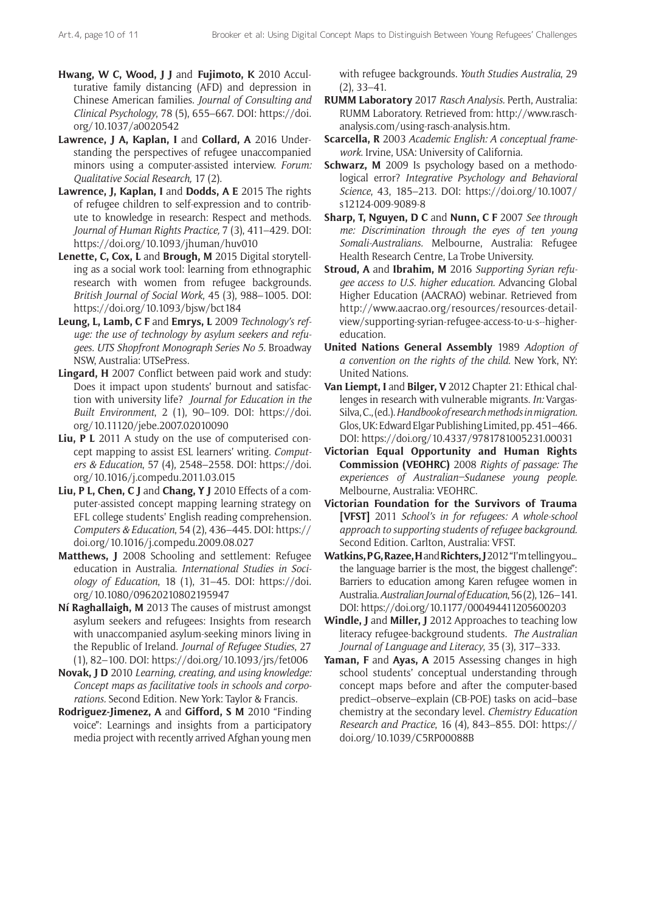- **Hwang, W C, Wood, J J** and **Fujimoto, K** 2010 Acculturative family distancing (AFD) and depression in Chinese American families. *Journal of Consulting and Clinical Psychology*, 78 (5), 655–667. DOI: [https://doi.](https://doi.org/10.1037/a0020542) [org/10.1037/a0020542](https://doi.org/10.1037/a0020542)
- **Lawrence, J A, Kaplan, I** and **Collard, A** 2016 Understanding the perspectives of refugee unaccompanied minors using a computer-assisted interview. *Forum: Qualitative Social Research,* 17 (2).
- Lawrence, J, Kaplan, I and Dodds, A E 2015 The rights of refugee children to self-expression and to contribute to knowledge in research: Respect and methods. *Journal of Human Rights Practice,* 7 (3), 411–429. DOI: <https://doi.org/10.1093/jhuman/huv010>
- **Lenette, C, Cox, L** and **Brough, M** 2015 Digital storytelling as a social work tool: learning from ethnographic research with women from refugee backgrounds. *British Journal of Social Work*, 45 (3), 988–1005. DOI: <https://doi.org/10.1093/bjsw/bct184>
- **Leung, L, Lamb, C F** and **Emrys, L** 2009 *Technology's refuge: the use of technology by asylum seekers and refugees. UTS Shopfront Monograph Series No 5.* Broadway NSW, Australia: UTSePress.
- **Lingard, H** 2007 Conflict between paid work and study: Does it impact upon students' burnout and satisfaction with university life? *Journal for Education in the Built Environment*, 2 (1), 90–109. DOI: [https://doi.](https://doi.org/10.11120/jebe.2007.02010090) [org/10.11120/jebe.2007.02010090](https://doi.org/10.11120/jebe.2007.02010090)
- **Liu, P L** 2011 A study on the use of computerised concept mapping to assist ESL learners' writing. *Computers & Education*, 57 (4), 2548–2558. DOI: [https://doi.](https://doi.org/10.1016/j.compedu.2011.03.015) [org/10.1016/j.compedu.2011.03.015](https://doi.org/10.1016/j.compedu.2011.03.015)
- **Liu, P L, Chen, C J** and **Chang, Y J** 2010 Effects of a computer-assisted concept mapping learning strategy on EFL college students' English reading comprehension. *Computers & Education*, 54 (2), 436–445. DOI: [https://](https://doi.org/10.1016/j.compedu.2009.08.027) [doi.org/10.1016/j.compedu.2009.08.027](https://doi.org/10.1016/j.compedu.2009.08.027)
- **Matthews, J** 2008 Schooling and settlement: Refugee education in Australia. *International Studies in Sociology of Education*, 18 (1), 31–45. DOI: [https://doi.](https://doi.org/10.1080/09620210802195947) [org/10.1080/09620210802195947](https://doi.org/10.1080/09620210802195947)
- **Ní Raghallaigh, M** 2013 The causes of mistrust amongst asylum seekers and refugees: Insights from research with unaccompanied asylum-seeking minors living in the Republic of Ireland. *Journal of Refugee Studies*, 27 (1), 82–100. DOI: <https://doi.org/10.1093/jrs/fet006>
- **Novak, J D** 2010 *Learning, creating, and using knowledge: Concept maps as facilitative tools in schools and corporations.* Second Edition. New York: Taylor & Francis.
- **Rodriguez-Jimenez, A** and **Gifford, S M** 2010 "Finding voice": Learnings and insights from a participatory media project with recently arrived Afghan young men

with refugee backgrounds. *Youth Studies Australia*, 29 (2), 33–41.

- **RUMM Laboratory** 2017 *Rasch Analysis.* Perth, Australia: RUMM Laboratory. Retrieved from: [http://www.rasch](http://www.rasch-analysis.com/using-rasch-analysis.htm)[analysis.com/using-rasch-analysis.htm.](http://www.rasch-analysis.com/using-rasch-analysis.htm)
- **Scarcella, R** 2003 *Academic English: A conceptual framework*. Irvine, USA: University of California.
- **Schwarz, M** 2009 Is psychology based on a methodological error? *Integrative Psychology and Behavioral Science*, 43, 185–213. DOI: [https://doi.org/10.1007/](https://doi.org/10.1007/s12124-009-9089-8) [s12124-009-9089-8](https://doi.org/10.1007/s12124-009-9089-8)
- **Sharp, T, Nguyen, D C** and **Nunn, C F** 2007 *See through me: Discrimination through the eyes of ten young Somali-Australians.* Melbourne, Australia: Refugee Health Research Centre, La Trobe University.
- **Stroud, A** and **Ibrahim, M** 2016 *Supporting Syrian refugee access to U.S. higher education.* Advancing Global Higher Education (AACRAO) webinar. Retrieved from [http://www.aacrao.org/resources/resources-detail](http://www.aacrao.org/resources/resources-detail-view/supporting-syrian-refugee-access-to-u-s--higher-education)[view/supporting-syrian-refugee-access-to-u-s--higher](http://www.aacrao.org/resources/resources-detail-view/supporting-syrian-refugee-access-to-u-s--higher-education)[education](http://www.aacrao.org/resources/resources-detail-view/supporting-syrian-refugee-access-to-u-s--higher-education).
- **United Nations General Assembly** 1989 *Adoption of a convention on the rights of the child*. New York, NY: United Nations.
- **Van Liempt, I** and **Bilger, V** 2012 Chapter 21: Ethical challenges in research with vulnerable migrants. *In:* Vargas-Silva, C., (ed.). *Handbook of research methods in migration.*  Glos, UK: Edward Elgar Publishing Limited, pp. 451–466. DOI: <https://doi.org/10.4337/9781781005231.00031>
- **Victorian Equal Opportunity and Human Rights Commission (VEOHRC)** 2008 *Rights of passage: The experiences of Australian–Sudanese young people.* Melbourne, Australia: VEOHRC.
- **Victorian Foundation for the Survivors of Trauma [VFST]** 2011 *School's in for refugees: A whole-school approach to supporting students of refugee background.*  Second Edition. Carlton, Australia: VFST.
- **Watkins, P G, Razee, H** and **Richters, J** 2012 "I'm telling you… the language barrier is the most, the biggest challenge": Barriers to education among Karen refugee women in Australia. *Australian Journal of Education*, 56 (2), 126–141. DOI:<https://doi.org/10.1177/000494411205600203>
- **Windle, J** and **Miller, J** 2012 Approaches to teaching low literacy refugee-background students. *The Australian Journal of Language and Literacy*, 35 (3), 317–333.
- **Yaman, F** and **Ayas, A** 2015 Assessing changes in high school students' conceptual understanding through concept maps before and after the computer-based predict–observe–explain (CB-POE) tasks on acid–base chemistry at the secondary level. *Chemistry Education Research and Practice*, 16 (4), 843–855. DOI: [https://](https://doi.org/10.1039/C5RP00088B) [doi.org/10.1039/C5RP00088B](https://doi.org/10.1039/C5RP00088B)